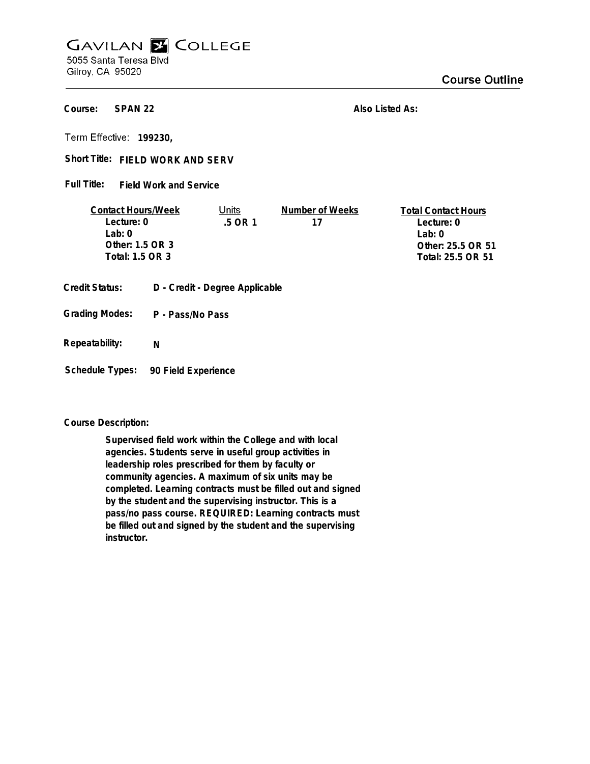## **GAVILAN E COLLEGE** 5055 Santa Teresa Blvd

Gilroy, CA 95020

**SPAN 22 Course:**

**Also Listed As:**

**199230,**

## Short Title: FIELD WORK AND SERV

**Field Work and Service Full Title:**

| <b>Contact Hours/Week</b> | Jnits     | Number of Weeks | <b>Total Contact Hours</b> |
|---------------------------|-----------|-----------------|----------------------------|
| Lecture: 0                | $.5$ OR 1 |                 | Lecture: 0                 |
| $1$ ab: $0$               |           |                 | l ab: 0                    |
| Other: 1.5 OR 3           |           |                 | Other: 25.5 OR 51          |
| Total: 1.5 OR 3           |           |                 | Total: 25.5 OR 51          |
|                           |           |                 |                            |

- **Credit Status: D Credit Degree Applicable**
- **P Pass/No Pass Grading Modes:**
- **Repeatability: N**

**Schedule Types: 90 Field Experience**

## **Course Description:**

**Supervised field work within the College and with local agencies. Students serve in useful group activities in leadership roles prescribed for them by faculty or community agencies. A maximum of six units may be completed. Learning contracts must be filled out and signed by the student and the supervising instructor. This is a pass/no pass course. REQUIRED: Learning contracts must be filled out and signed by the student and the supervising instructor.**